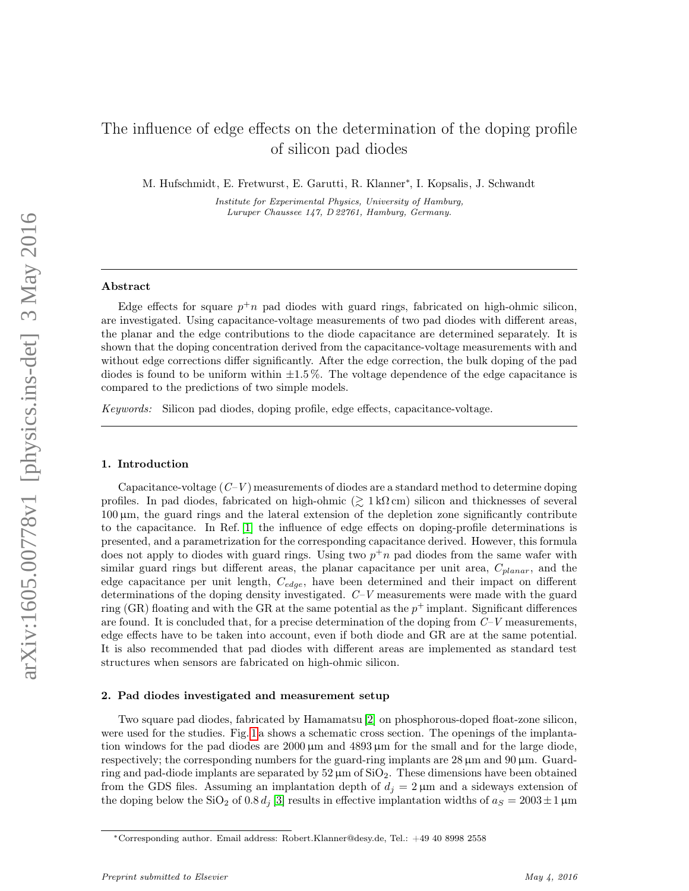# The influence of edge effects on the determination of the doping profile of silicon pad diodes

M. Hufschmidt, E. Fretwurst, E. Garutti, R. Klanner<sup>∗</sup> , I. Kopsalis, J. Schwandt

Institute for Experimental Physics, University of Hamburg, Luruper Chaussee 147, D 22761, Hamburg, Germany.

### Abstract

Edge effects for square  $p^{\dagger}n$  pad diodes with guard rings, fabricated on high-ohmic silicon, are investigated. Using capacitance-voltage measurements of two pad diodes with different areas, the planar and the edge contributions to the diode capacitance are determined separately. It is shown that the doping concentration derived from the capacitance-voltage measurements with and without edge corrections differ significantly. After the edge correction, the bulk doping of the pad diodes is found to be uniform within  $\pm 1.5\%$ . The voltage dependence of the edge capacitance is compared to the predictions of two simple models.

Keywords: Silicon pad diodes, doping profile, edge effects, capacitance-voltage.

## 1. Introduction

Capacitance-voltage  $(C-V)$  measurements of diodes are a standard method to determine doping profiles. In pad diodes, fabricated on high-ohmic ( $\gtrsim 1 \,\mathrm{k}\Omega \,\mathrm{cm}$ ) silicon and thicknesses of several 100 µm, the guard rings and the lateral extension of the depletion zone significantly contribute to the capacitance. In Ref. [\[1\]](#page-7-0) the influence of edge effects on doping-profile determinations is presented, and a parametrization for the corresponding capacitance derived. However, this formula does not apply to diodes with guard rings. Using two  $p^{\dagger}n$  pad diodes from the same wafer with similar guard rings but different areas, the planar capacitance per unit area,  $C_{planar}$ , and the edge capacitance per unit length,  $C_{edge}$ , have been determined and their impact on different determinations of the doping density investigated. C–V measurements were made with the guard ring (GR) floating and with the GR at the same potential as the  $p^+$  implant. Significant differences are found. It is concluded that, for a precise determination of the doping from  $C-V$  measurements, edge effects have to be taken into account, even if both diode and GR are at the same potential. It is also recommended that pad diodes with different areas are implemented as standard test structures when sensors are fabricated on high-ohmic silicon.

# 2. Pad diodes investigated and measurement setup

Two square pad diodes, fabricated by Hamamatsu [\[2\]](#page-7-1) on phosphorous-doped float-zone silicon, were used for the studies. Fig. [1](#page-1-0) a shows a schematic cross section. The openings of the implantation windows for the pad diodes are  $2000 \mu m$  and  $4893 \mu m$  for the small and for the large diode, respectively; the corresponding numbers for the guard-ring implants are  $28 \mu m$  and  $90 \mu m$ . Guardring and pad-diode implants are separated by  $52 \mu m$  of  $SiO<sub>2</sub>$ . These dimensions have been obtained from the GDS files. Assuming an implantation depth of  $d_j = 2 \mu m$  and a sideways extension of the doping below the SiO<sub>2</sub> of 0.8  $d_j$  [\[3\]](#page-7-2) results in effective implantation widths of  $a_S = 2003 \pm 1 \,\mu m$ 

<sup>∗</sup>Corresponding author. Email address: Robert.Klanner@desy.de, Tel.: +49 40 8998 2558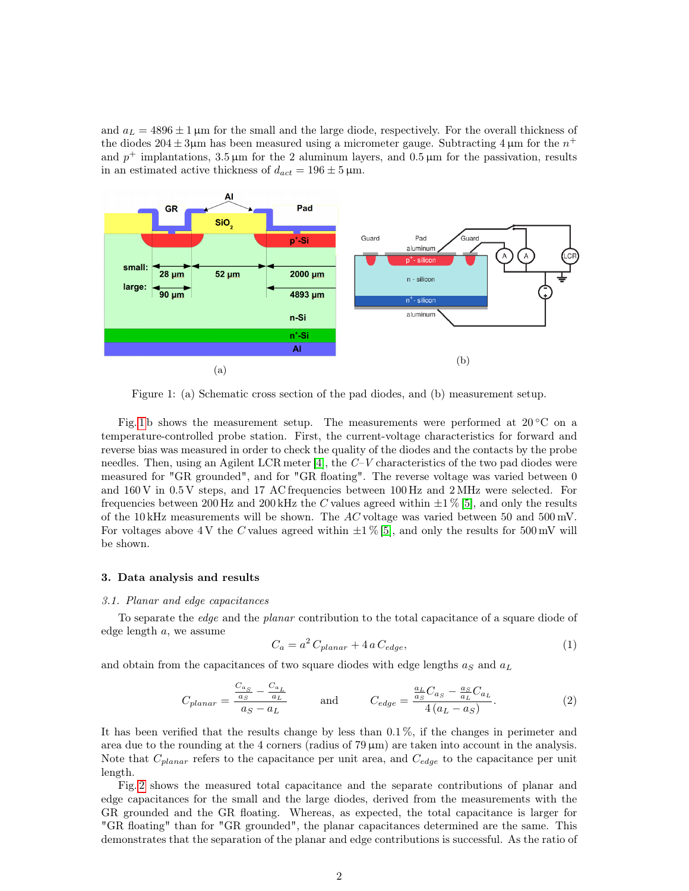and  $a_L = 4896 \pm 1 \,\mu \text{m}$  for the small and the large diode, respectively. For the overall thickness of the diodes  $204 \pm 3\mu$ m has been measured using a micrometer gauge. Subtracting 4  $\mu$ m for the  $n^+$ and  $p^+$  implantations, 3.5  $\mu$ m for the 2 aluminum layers, and 0.5  $\mu$ m for the passivation, results in an estimated active thickness of  $d_{act} = 196 \pm 5 \,\mu \text{m}$ .

<span id="page-1-0"></span>

Figure 1: (a) Schematic cross section of the pad diodes, and (b) measurement setup.

Fig. [1](#page-1-0) b shows the measurement setup. The measurements were performed at  $20\degree$ C on a temperature-controlled probe station. First, the current-voltage characteristics for forward and reverse bias was measured in order to check the quality of the diodes and the contacts by the probe needles. Then, using an Agilent LCR meter [\[4\]](#page-7-3), the  $C-V$  characteristics of the two pad diodes were measured for "GR grounded", and for "GR floating". The reverse voltage was varied between 0 and 160 V in 0.5 V steps, and 17 AC frequencies between 100 Hz and 2 MHz were selected. For frequencies between 200 Hz and 200 kHz the C values agreed within  $\pm 1\%$  [\[5\]](#page-7-4), and only the results of the 10 kHz measurements will be shown. The AC voltage was varied between 50 and 500 mV. For voltages above 4 V the C values agreed within  $\pm 1\%$  [\[5\]](#page-7-4), and only the results for 500 mV will be shown.

#### 3. Data analysis and results

### 3.1. Planar and edge capacitances

To separate the edge and the planar contribution to the total capacitance of a square diode of edge length  $a$ , we assume

<span id="page-1-2"></span>
$$
C_a = a^2 C_{planar} + 4 a C_{edge}, \tag{1}
$$

and obtain from the capacitances of two square diodes with edge lengths  $a_S$  and  $a_L$ 

<span id="page-1-1"></span>
$$
C_{planar} = \frac{\frac{C_{a_S}}{a_S} - \frac{C_{a_L}}{a_L}}{a_S - a_L} \quad \text{and} \quad C_{edge} = \frac{\frac{a_L}{a_S}C_{a_S} - \frac{a_S}{a_L}C_{a_L}}{4(a_L - a_S)}.
$$
 (2)

It has been verified that the results change by less than 0.1 %, if the changes in perimeter and area due to the rounding at the 4 corners (radius of 79 µm) are taken into account in the analysis. Note that  $C_{planar}$  refers to the capacitance per unit area, and  $C_{edge}$  to the capacitance per unit length.

Fig. [2](#page-2-0) shows the measured total capacitance and the separate contributions of planar and edge capacitances for the small and the large diodes, derived from the measurements with the GR grounded and the GR floating. Whereas, as expected, the total capacitance is larger for "GR floating" than for "GR grounded", the planar capacitances determined are the same. This demonstrates that the separation of the planar and edge contributions is successful. As the ratio of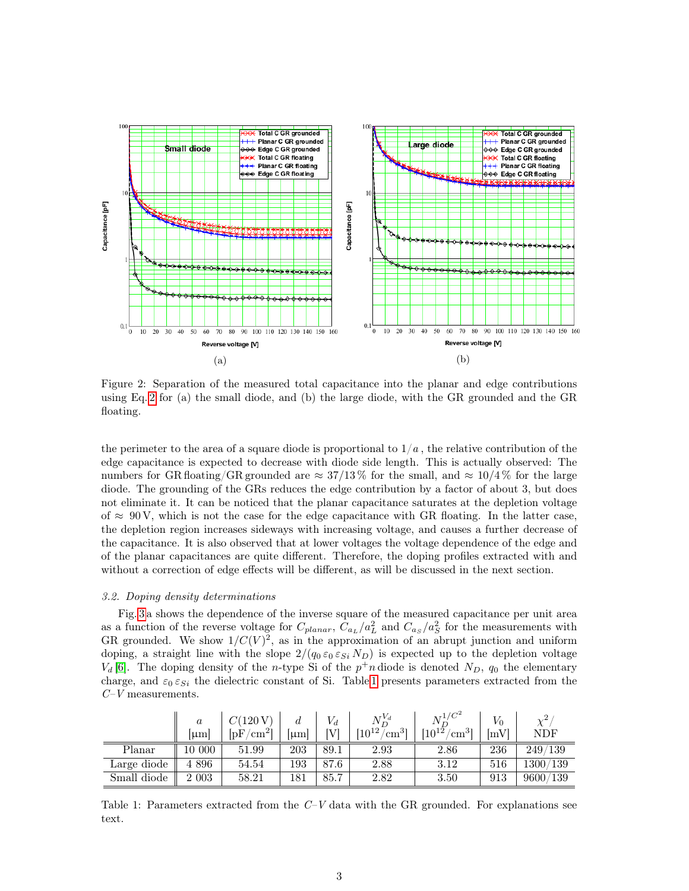<span id="page-2-0"></span>

Figure 2: Separation of the measured total capacitance into the planar and edge contributions using Eq. [2](#page-1-1) for (a) the small diode, and (b) the large diode, with the GR grounded and the GR floating.

the perimeter to the area of a square diode is proportional to  $1/a$ , the relative contribution of the edge capacitance is expected to decrease with diode side length. This is actually observed: The numbers for GR floating/GR grounded are  $\approx 37/13\%$  for the small, and  $\approx 10/4\%$  for the large diode. The grounding of the GRs reduces the edge contribution by a factor of about 3, but does not eliminate it. It can be noticed that the planar capacitance saturates at the depletion voltage of  $\approx 90 \text{V}$ , which is not the case for the edge capacitance with GR floating. In the latter case, the depletion region increases sideways with increasing voltage, and causes a further decrease of the capacitance. It is also observed that at lower voltages the voltage dependence of the edge and of the planar capacitances are quite different. Therefore, the doping profiles extracted with and without a correction of edge effects will be different, as will be discussed in the next section.

## 3.2. Doping density determinations

Fig. [3](#page-3-0) a shows the dependence of the inverse square of the measured capacitance per unit area as a function of the reverse voltage for  $C_{planar}$ ,  $C_{a_L}/a_L^2$  and  $C_{a_S}/a_S^2$  for the measurements with GR grounded. We show  $1/C(V)^2$ , as in the approximation of an abrupt junction and uniform doping, a straight line with the slope  $2/(q_0 \varepsilon_0 \varepsilon_{Si} N_D)$  is expected up to the depletion voltage  $V_d$  [\[6\]](#page-7-5). The doping density of the *n*-type Si of the  $p^+n$  diode is denoted  $N_D$ ,  $q_0$  the elementary charge, and  $\varepsilon_0 \varepsilon_{Si}$  the dielectric constant of Si. Table [1](#page-2-1) presents parameters extracted from the  $C-V$  measurements.

<span id="page-2-1"></span>

|             | $\boldsymbol{a}$<br>$ \mu m $ | $C(120\,\mathrm{V})$<br>$\rm/cm^{2}l$<br>ſрF | u<br>$ \mu m $ | [V]  | $N_{D}^{V_d}$<br>$^{\mathsf{f}}10^{12}$ /<br>$\mu$ cm <sup>31</sup> | $N_{\rm p}^{1/C^2}$<br>$[10^{12}]$<br>$\,\mathrm{cm}^{3}$ | [mV] | $\chi^2$<br>$\operatorname{NDF}$ |
|-------------|-------------------------------|----------------------------------------------|----------------|------|---------------------------------------------------------------------|-----------------------------------------------------------|------|----------------------------------|
| Planar      | 10 000                        | 51.99                                        | 203            | 89.1 | 2.93                                                                | 2.86                                                      | 236  | 249/139                          |
| Large diode | 4 8 9 6                       | 54.54                                        | 193            | 87.6 | 2.88                                                                | 3.12                                                      | 516  | 1300/139                         |
| Small diode | 2 0 0 3                       | 58.21                                        | 181            | 85.7 | 2.82                                                                | 3.50                                                      | 913  | 9600/139                         |

Table 1: Parameters extracted from the  $C-V$  data with the GR grounded. For explanations see text.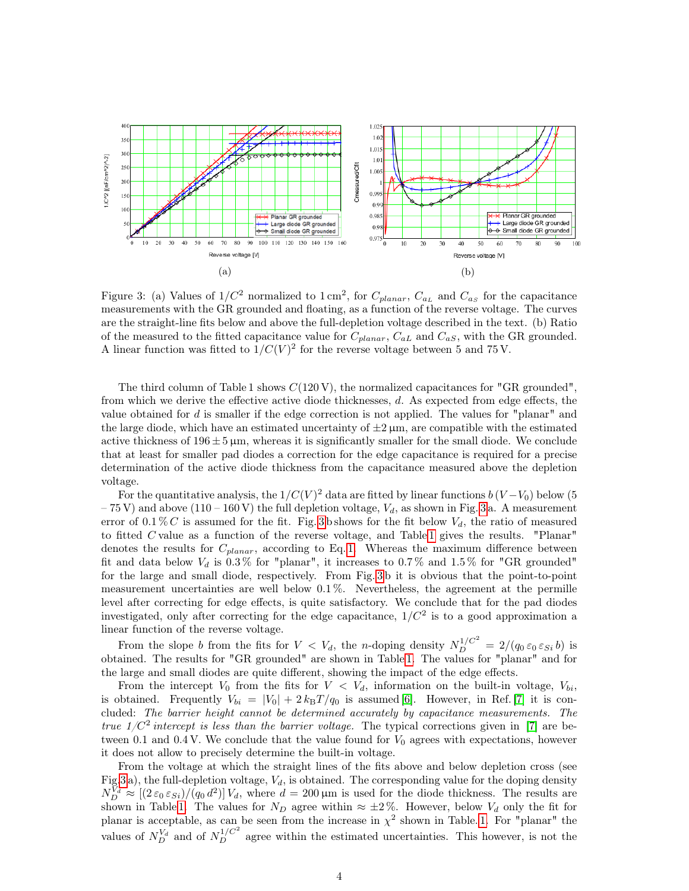<span id="page-3-0"></span>

Figure 3: (a) Values of  $1/C^2$  normalized to  $1 \text{ cm}^2$ , for  $C_{planar}$ ,  $C_{a_L}$  and  $C_{a_S}$  for the capacitance measurements with the GR grounded and floating, as a function of the reverse voltage. The curves are the straight-line fits below and above the full-depletion voltage described in the text. (b) Ratio of the measured to the fitted capacitance value for  $C_{planar}$ ,  $C_{aL}$  and  $C_{aS}$ , with the GR grounded. A linear function was fitted to  $1/C(V)^2$  for the reverse voltage between 5 and 75 V.

The third column of Table 1 shows  $C(120 \text{ V})$ , the normalized capacitances for "GR grounded". from which we derive the effective active diode thicknesses, d. As expected from edge effects, the value obtained for  $d$  is smaller if the edge correction is not applied. The values for "planar" and the large diode, which have an estimated uncertainty of  $\pm 2 \,\mu$ m, are compatible with the estimated active thickness of  $196 \pm 5 \,\mu$ m, whereas it is significantly smaller for the small diode. We conclude that at least for smaller pad diodes a correction for the edge capacitance is required for a precise determination of the active diode thickness from the capacitance measured above the depletion voltage.

For the quantitative analysis, the  $1/C(V)^2$  data are fitted by linear functions  $b(V-V_0)$  below (5  $-75$  V) and above (110 – 160 V) the full depletion voltage,  $V_d$ , as shown in Fig. [3](#page-3-0) a. A measurement error of  $0.1\%$  C is assumed for the fit. Fig. [3](#page-3-0) b shows for the fit below  $V_d$ , the ratio of measured to fitted C value as a function of the reverse voltage, and Table [1](#page-2-1) gives the results. "Planar" denotes the results for  $C_{planar}$ , according to Eq. [1.](#page-1-2) Whereas the maximum difference between fit and data below  $V_d$  is 0.3% for "planar", it increases to 0.7% and 1.5% for "GR grounded" for the large and small diode, respectively. From Fig. [3](#page-3-0) b it is obvious that the point-to-point measurement uncertainties are well below 0.1 %. Nevertheless, the agreement at the permille level after correcting for edge effects, is quite satisfactory. We conclude that for the pad diodes investigated, only after correcting for the edge capacitance,  $1/C<sup>2</sup>$  is to a good approximation a linear function of the reverse voltage.

From the slope b from the fits for  $V < V_d$ , the n-doping density  $N_D^{1/C^2} = 2/(q_0 \varepsilon_0 \varepsilon_{Si} b)$  is obtained. The results for "GR grounded" are shown in Table [1.](#page-2-1) The values for "planar" and for the large and small diodes are quite different, showing the impact of the edge effects.

From the intercept  $V_0$  from the fits for  $V < V_d$ , information on the built-in voltage,  $V_{bi}$ , is obtained. Frequently  $V_{bi} = |V_0| + 2 k_B T / q_0$  is assumed [\[6\]](#page-7-5). However, in Ref. [\[7\]](#page-7-6) it is concluded: The barrier height cannot be determined accurately by capacitance measurements. The true  $1/C^2$  intercept is less than the barrier voltage. The typical corrections given in [\[7\]](#page-7-6) are between 0.1 and 0.4 V. We conclude that the value found for  $V_0$  agrees with expectations, however it does not allow to precisely determine the built-in voltage.

From the voltage at which the straight lines of the fits above and below depletion cross (see Fig[.3](#page-3-0) a), the full-depletion voltage,  $V_d$ , is obtained. The corresponding value for the doping density  $N_D^{\tilde{V}_d} \approx [(2\,\varepsilon_0\,\varepsilon_{Si})/(q_0\,d^2)]V_d$ , where  $d=200\,\mu\text{m}$  is used for the diode thickness. The results are shown in Table [1.](#page-2-1) The values for  $N_D$  agree within  $\approx \pm 2\%$ . However, below  $V_d$  only the fit for planar is acceptable, as can be seen from the increase in  $\chi^2$  shown in Table. [1.](#page-2-1) For "planar" the values of  $N_D^{V_d}$  and of  $N_D^{1/C^2}$  agree within the estimated uncertainties. This however, is not the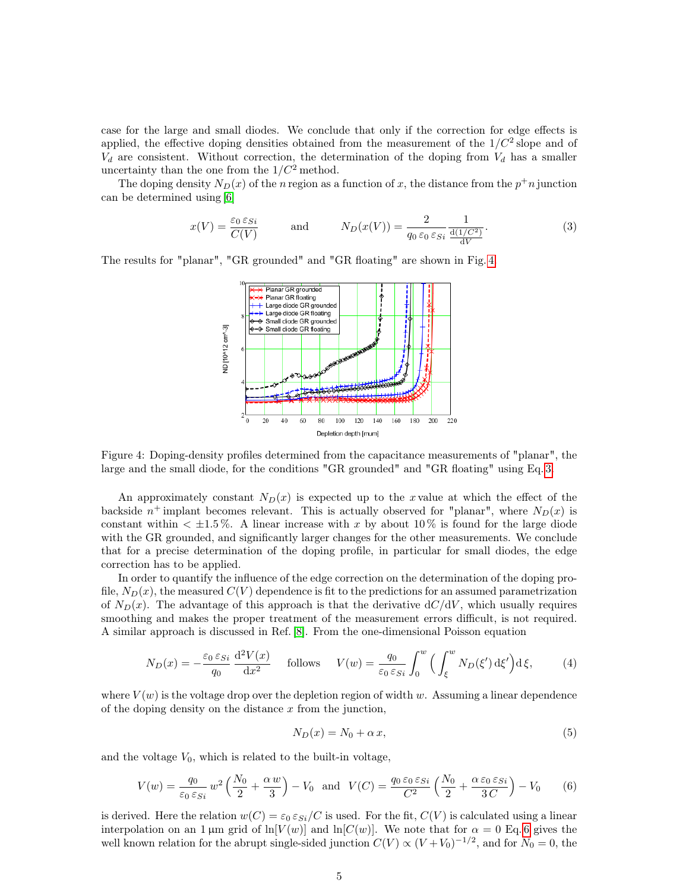case for the large and small diodes. We conclude that only if the correction for edge effects is applied, the effective doping densities obtained from the measurement of the  $1/C<sup>2</sup>$  slope and of  $V_d$  are consistent. Without correction, the determination of the doping from  $V_d$  has a smaller uncertainty than the one from the  $1/C^2$  method.

The doping density  $N_D(x)$  of the n region as a function of x, the distance from the  $p^+n$  junction can be determined using [\[6\]](#page-7-5)

<span id="page-4-1"></span>
$$
x(V) = \frac{\varepsilon_0 \varepsilon_{Si}}{C(V)} \quad \text{and} \quad N_D(x(V)) = \frac{2}{q_0 \varepsilon_0 \varepsilon_{Si}} \frac{1}{\frac{d(1/C^2)}{dV}}.
$$
 (3)

<span id="page-4-0"></span>The results for "planar", "GR grounded" and "GR floating" are shown in Fig. [4.](#page-4-0)



Figure 4: Doping-density profiles determined from the capacitance measurements of "planar", the large and the small diode, for the conditions "GR grounded" and "GR floating" using Eq. [3.](#page-4-1)

An approximately constant  $N_D(x)$  is expected up to the x value at which the effect of the backside  $n^+$  implant becomes relevant. This is actually observed for "planar", where  $N_D(x)$  is constant within  $\lt \pm 1.5\%$ . A linear increase with x by about 10% is found for the large diode with the GR grounded, and significantly larger changes for the other measurements. We conclude that for a precise determination of the doping profile, in particular for small diodes, the edge correction has to be applied.

In order to quantify the influence of the edge correction on the determination of the doping profile,  $N_D(x)$ , the measured  $C(V)$  dependence is fit to the predictions for an assumed parametrization of  $N_D(x)$ . The advantage of this approach is that the derivative  $dC/dV$ , which usually requires smoothing and makes the proper treatment of the measurement errors difficult, is not required. A similar approach is discussed in Ref. [\[8\]](#page-7-7). From the one-dimensional Poisson equation

<span id="page-4-4"></span>
$$
N_D(x) = -\frac{\varepsilon_0 \varepsilon_{Si}}{q_0} \frac{\mathrm{d}^2 V(x)}{\mathrm{d}x^2} \quad \text{follows} \quad V(w) = \frac{q_0}{\varepsilon_0 \varepsilon_{Si}} \int_0^w \left( \int_{\xi}^w N_D(\xi') \,\mathrm{d}\xi' \right) \mathrm{d}\xi,\tag{4}
$$

where  $V(w)$  is the voltage drop over the depletion region of width w. Assuming a linear dependence of the doping density on the distance  $x$  from the junction,

<span id="page-4-3"></span>
$$
N_D(x) = N_0 + \alpha x,\tag{5}
$$

and the voltage  $V_0$ , which is related to the built-in voltage,

<span id="page-4-2"></span>
$$
V(w) = \frac{q_0}{\varepsilon_0 \varepsilon_{Si}} w^2 \left(\frac{N_0}{2} + \frac{\alpha w}{3}\right) - V_0 \quad \text{and} \quad V(C) = \frac{q_0 \varepsilon_0 \varepsilon_{Si}}{C^2} \left(\frac{N_0}{2} + \frac{\alpha \varepsilon_0 \varepsilon_{Si}}{3C}\right) - V_0 \tag{6}
$$

is derived. Here the relation  $w(C) = \varepsilon_0 \varepsilon_{Si}/C$  is used. For the fit,  $C(V)$  is calculated using a linear interpolation on an 1 µm grid of  $ln[V(w)]$  and  $ln[C(w)]$ . We note that for  $\alpha = 0$  Eq. [6](#page-4-2) gives the well known relation for the abrupt single-sided junction  $C(V) \propto (V + V_0)^{-1/2}$ , and for  $N_0 = 0$ , the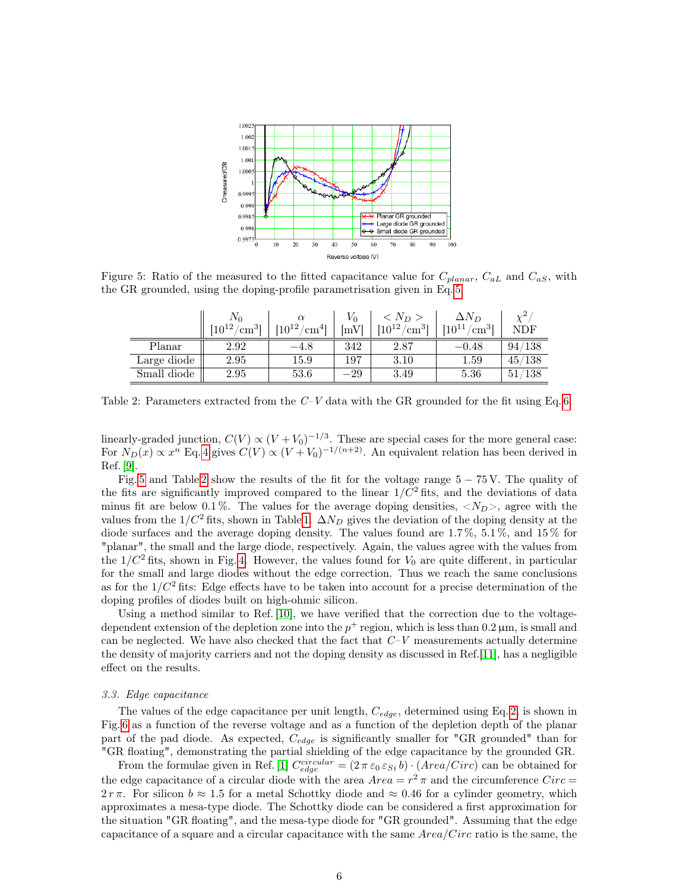<span id="page-5-0"></span>

<span id="page-5-1"></span>Figure 5: Ratio of the measured to the fitted capacitance value for  $C_{planar}$ ,  $C_{aL}$  and  $C_{aS}$ , with the GR grounded, using the doping-profile parametrisation given in Eq. [5.](#page-4-3)

|             | $N_0$<br>$[10^{12}]$<br>$\mu$ cm <sup>31</sup> | $\alpha$<br>$[10^{12}/$<br>$\mu$ cm <sup>41</sup> | Vο<br>$\lceil \textrm{mV} \rceil$ | $\langle N_D \rangle$<br>$[10^{12}/$<br>$\rm [cm^3]$ | $\Delta N_D$<br>$[10^{11}\,/\,$<br>$\rm cm^3$ ] | $\chi^2$<br>NDF |
|-------------|------------------------------------------------|---------------------------------------------------|-----------------------------------|------------------------------------------------------|-------------------------------------------------|-----------------|
| Planar      | 2.92                                           | $-4.8$                                            | 342                               | 2.87                                                 | $-0.48$                                         | 94/138          |
| Large diode | 2.95                                           | $15.9\,$                                          | 197                               | 3.10                                                 | $1.59\,$                                        | 45/138          |
| Small diode | 2.95                                           | 53.6                                              | $-29\,$                           | 3.49                                                 | 5.36                                            | /138<br>51      |

Table 2: Parameters extracted from the  $C-V$  data with the GR grounded for the fit using Eq. [6.](#page-4-2)

linearly-graded junction,  $C(V) \propto (V + V_0)^{-1/3}$ . These are special cases for the more general case: For  $N_D(x) \propto x^n$  Eq. [4](#page-4-4) gives  $C(V) \propto (V + V_0)^{-1/(n+2)}$ . An equivalent relation has been derived in Ref. [\[9\]](#page-7-8).

Fig. [5](#page-5-0) and Table [2](#page-5-1) show the results of the fit for the voltage range  $5 - 75$  V. The quality of the fits are significantly improved compared to the linear  $1/C^2$  fits, and the deviations of data minus fit are below 0.1%. The values for the average doping densities,  $\langle N_D \rangle$ , agree with the values from the  $1/C^2$  fits, shown in Table [1.](#page-2-1)  $\Delta N_D$  gives the deviation of the doping density at the diode surfaces and the average doping density. The values found are 1.7 %, 5.1 %, and 15 % for "planar", the small and the large diode, respectively. Again, the values agree with the values from the  $1/C^2$  fits, shown in Fig. [4.](#page-4-0) However, the values found for  $V_0$  are quite different, in particular for the small and large diodes without the edge correction. Thus we reach the same conclusions as for the  $1/C^2$  fits: Edge effects have to be taken into account for a precise determination of the doping profiles of diodes built on high-ohmic silicon.

Using a method similar to Ref. [\[10\]](#page-7-9), we have verified that the correction due to the voltagedependent extension of the depletion zone into the  $p^+$  region, which is less than 0.2  $\mu$ m, is small and can be neglected. We have also checked that the fact that  $C-V$  measurements actually determine the density of majority carriers and not the doping density as discussed in Ref.[\[11\]](#page-7-10), has a negligible effect on the results.

### 3.3. Edge capacitance

 $\equiv$ 

The values of the edge capacitance per unit length,  $C_{edge}$ , determined using Eq. [2,](#page-1-1) is shown in Fig. [6](#page-6-0) as a function of the reverse voltage and as a function of the depletion depth of the planar part of the pad diode. As expected,  $C_{edge}$  is significantly smaller for "GR grounded" than for "GR floating", demonstrating the partial shielding of the edge capacitance by the grounded GR.

From the formulae given in Ref. [\[1\]](#page-7-0)  $C_{edge}^{circular} = (2 \pi \epsilon_0 \epsilon_{Si} b) \cdot (Area/Circ)$  can be obtained for the edge capacitance of a circular diode with the area  $Area = r^2 \pi$  and the circumference  $Circ =$  $2 r \pi$ . For silicon  $b \approx 1.5$  for a metal Schottky diode and  $\approx 0.46$  for a cylinder geometry, which approximates a mesa-type diode. The Schottky diode can be considered a first approximation for the situation "GR floating", and the mesa-type diode for "GR grounded". Assuming that the edge capacitance of a square and a circular capacitance with the same  $Area/Circ$  ratio is the same, the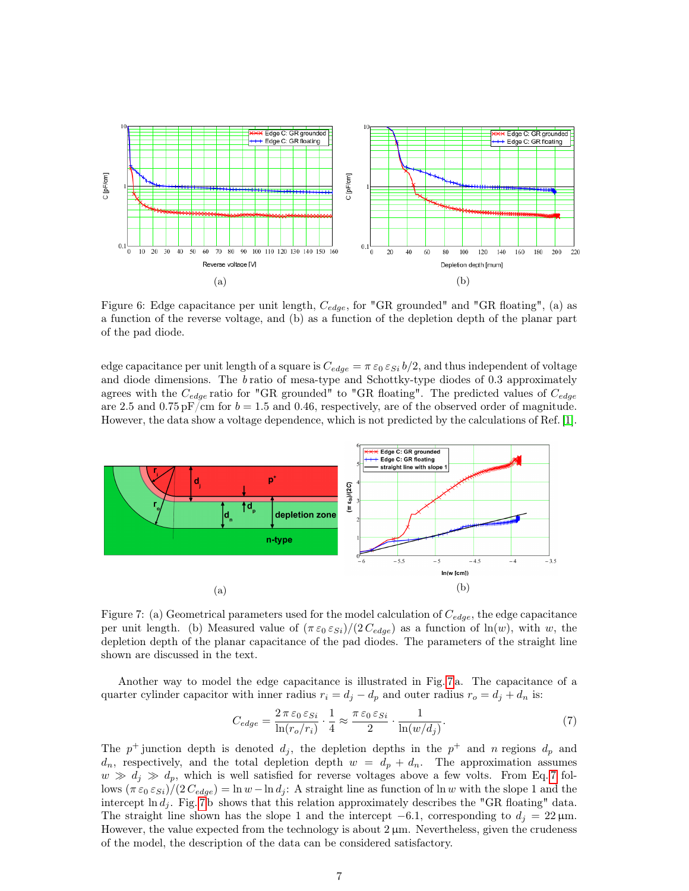<span id="page-6-0"></span>

Figure 6: Edge capacitance per unit length,  $C_{edge}$ , for "GR grounded" and "GR floating", (a) as a function of the reverse voltage, and (b) as a function of the depletion depth of the planar part of the pad diode.

edge capacitance per unit length of a square is  $C_{edge} = \pi \epsilon_0 \epsilon_{Si} b/2$ , and thus independent of voltage and diode dimensions. The  $b$  ratio of mesa-type and Schottky-type diodes of 0.3 approximately agrees with the  $C_{edge}$  ratio for "GR grounded" to "GR floating". The predicted values of  $C_{edge}$ are 2.5 and 0.75 pF/cm for  $b = 1.5$  and 0.46, respectively, are of the observed order of magnitude. However, the data show a voltage dependence, which is not predicted by the calculations of Ref. [\[1\]](#page-7-0).

<span id="page-6-1"></span>

Figure 7: (a) Geometrical parameters used for the model calculation of  $C_{edge}$ , the edge capacitance per unit length. (b) Measured value of  $(\pi \varepsilon_0 \varepsilon_{Si})/(2 C_{edge})$  as a function of  $\ln(w)$ , with w, the depletion depth of the planar capacitance of the pad diodes. The parameters of the straight line shown are discussed in the text.

Another way to model the edge capacitance is illustrated in Fig. [7 a](#page-6-1). The capacitance of a quarter cylinder capacitor with inner radius  $r_i = d_j - d_p$  and outer radius  $r_o = d_j + d_n$  is:

<span id="page-6-2"></span>
$$
C_{edge} = \frac{2 \pi \varepsilon_0 \varepsilon_{Si}}{\ln(r_o/r_i)} \cdot \frac{1}{4} \approx \frac{\pi \varepsilon_0 \varepsilon_{Si}}{2} \cdot \frac{1}{\ln(w/d_j)}.\tag{7}
$$

The  $p^+$  junction depth is denoted  $d_j$ , the depletion depths in the  $p^+$  and n regions  $d_p$  and  $d_n$ , respectively, and the total depletion depth  $w = d_p + d_n$ . The approximation assumes  $w \gg d_i \gg d_p$ , which is well satisfied for reverse voltages above a few volts. From Eq. [7](#page-6-2) follows  $(\pi \epsilon_0 \epsilon_{Si})/(2 C_{edge}) = \ln w - \ln d_i$ : A straight line as function of ln w with the slope 1 and the intercept  $\ln d_i$ . Fig. [7](#page-6-1)b shows that this relation approximately describes the "GR floating" data. The straight line shown has the slope 1 and the intercept  $-6.1$ , corresponding to  $d_i = 22 \,\mu\text{m}$ . However, the value expected from the technology is about  $2 \mu m$ . Nevertheless, given the crudeness of the model, the description of the data can be considered satisfactory.